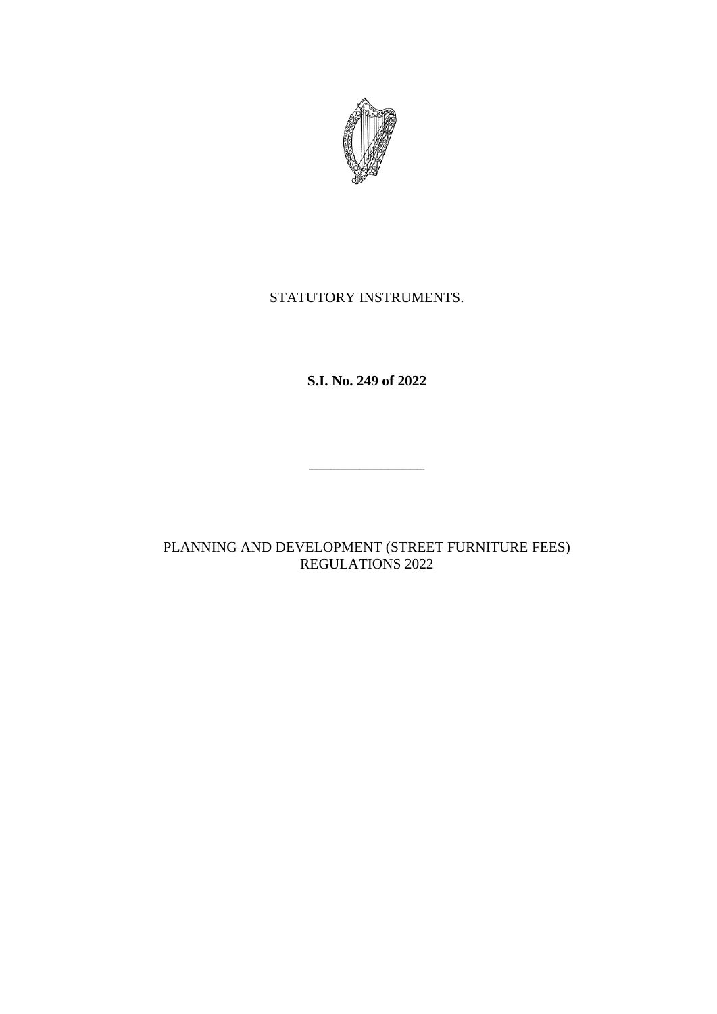

# STATUTORY INSTRUMENTS.

**S.I. No. 249 of 2022**

 $\frac{1}{2}$  , and the set of the set of the set of the set of the set of the set of the set of the set of the set of the set of the set of the set of the set of the set of the set of the set of the set of the set of the set

PLANNING AND DEVELOPMENT (STREET FURNITURE FEES) REGULATIONS 2022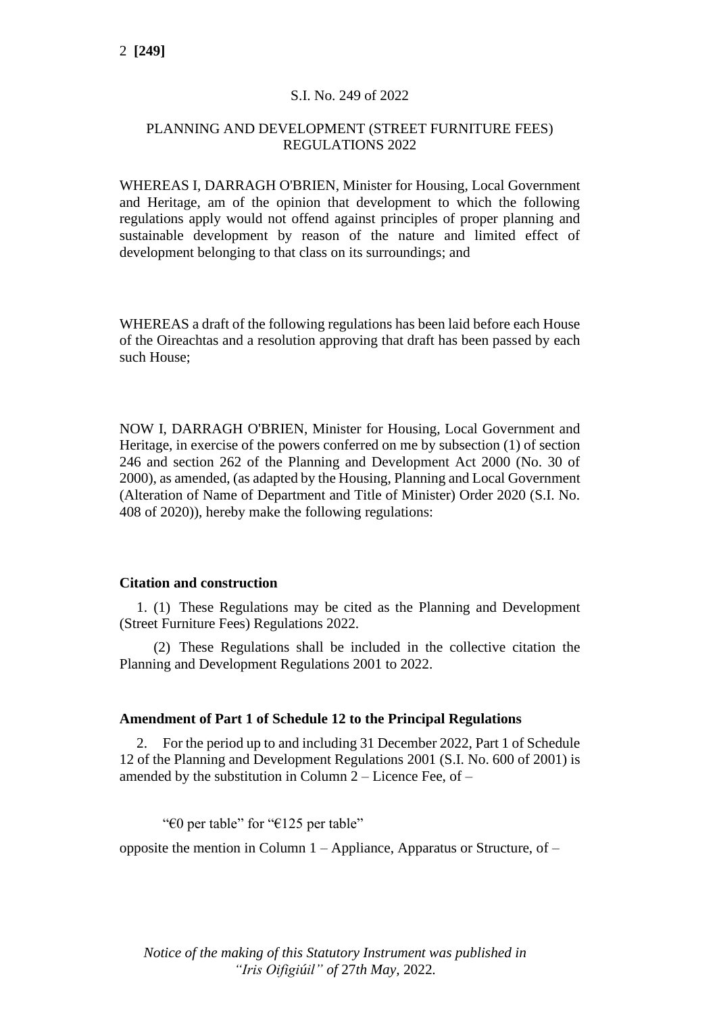## S.I. No. 249 of 2022

### PLANNING AND DEVELOPMENT (STREET FURNITURE FEES) REGULATIONS 2022

WHEREAS I, DARRAGH O'BRIEN, Minister for Housing, Local Government and Heritage, am of the opinion that development to which the following regulations apply would not offend against principles of proper planning and sustainable development by reason of the nature and limited effect of development belonging to that class on its surroundings; and

WHEREAS a draft of the following regulations has been laid before each House of the Oireachtas and a resolution approving that draft has been passed by each such House;

NOW I, DARRAGH O'BRIEN, Minister for Housing, Local Government and Heritage, in exercise of the powers conferred on me by subsection (1) of section 246 and section 262 of the Planning and Development Act 2000 (No. 30 of 2000), as amended, (as adapted by the Housing, Planning and Local Government (Alteration of Name of Department and Title of Minister) Order 2020 (S.I. No. 408 of 2020)), hereby make the following regulations:

#### **Citation and construction**

1. (1) These Regulations may be cited as the Planning and Development (Street Furniture Fees) Regulations 2022.

(2) These Regulations shall be included in the collective citation the Planning and Development Regulations 2001 to 2022.

### **Amendment of Part 1 of Schedule 12 to the Principal Regulations**

2. For the period up to and including 31 December 2022, Part 1 of Schedule 12 of the Planning and Development Regulations 2001 (S.I. No. 600 of 2001) is amended by the substitution in Column 2 – Licence Fee, of –

"€0 per table" for "€125 per table"

opposite the mention in Column 1 – Appliance, Apparatus or Structure, of –

*Notice of the making of this Statutory Instrument was published in "Iris Oifigiúil" of* 27*th May,* 2022*.*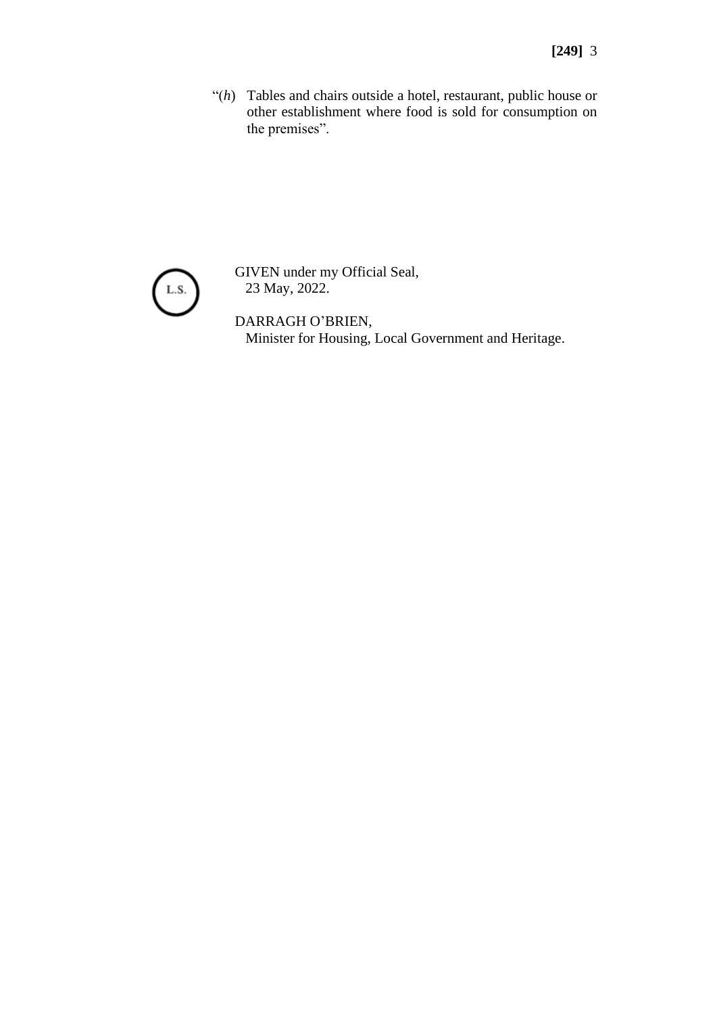"(h) Tables and chairs outside a hotel, restaurant, public house or other establishment where food is sold for consumption on the premises".



GIVEN under my Official Seal, 23 May, 2022.

DARRAGH O'BRIEN, Minister for Housing, Local Government and Heritage.